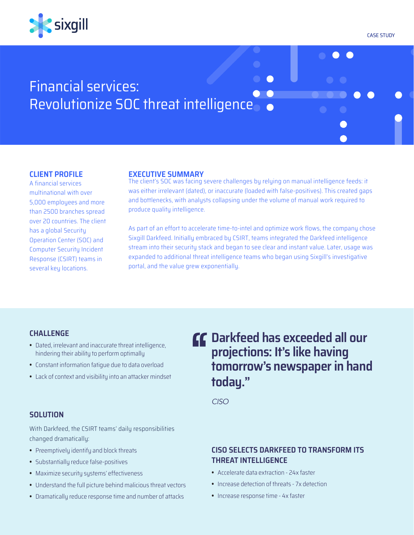

CASE STUDY

 $\bullet$  $\bullet$ 

# Financial services: Revolutionize SOC threat intelligence

### **CLIENT PROFILE**

A financial services multinational with over 5,000 employees and more than 2500 branches spread over 20 countries. The client has a global Security Operation Center (SOC) and Computer Security Incident Response (CSIRT) teams in several key locations.

### **EXECUTIVE SUMMARY**

The client's SOC was facing severe challenges by relying on manual intelligence feeds: it was either irrelevant (dated), or inaccurate (loaded with false-positives). This created gaps and bottlenecks, with analysts collapsing under the volume of manual work required to produce quality intelligence.

As part of an effort to accelerate time-to-intel and optimize work flows, the company chose Sixgill Darkfeed. Initially embraced by CSIRT, teams integrated the Darkfeed intelligence stream into their security stack and began to see clear and instant value. Later, usage was expanded to additional threat intelligence teams who began using Sixgill's investigative portal, and the value grew exponentially.

### **CHALLENGE**

- **•**  Dated, irrelevant and inaccurate threat intelligence, hindering their ability to perform optimally
- **•**  Constant information fatigue due to data overload
- **•**  Lack of context and visibility into an attacker mindset

### **SOLUTION**

With Darkfeed, the CSIRT teams' daily responsibilities changed dramatically:

- **•**  Preemptively identify and block threats
- **•**  Substantially reduce false-positives
- **•**  Maximize security systems' effectiveness
- **•**  Understand the full picture behind malicious threat vectors
- **•**  Dramatically reduce response time and number of attacks

# **Darkfeed has exceeded all our projections: It's like having tomorrow's newspaper in hand today."**

*CISO*

### **CISO SELECTS DARKFEED TO TRANSFORM ITS THREAT INTELLIGENCE**

- **•**  Accelerate data extraction 24x faster
- **•**  Increase detection of threats 7x detection
- **•**  Increase response time 4x faster